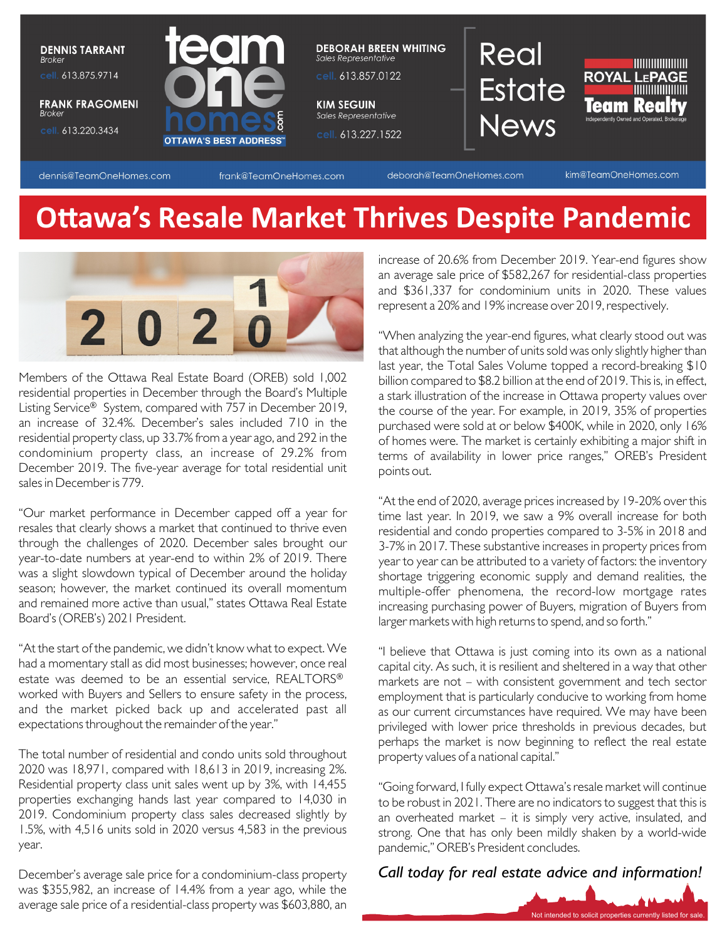

dennis@TeamOneHomes.com

frank@TeamOneHomes.com

deborah@TeamOneHomes.com

kim@TeamOneHomes.com

# **Ottawa's Resale Market Thrives Despite Pandemic**



Members of the Ottawa Real Estate Board (OREB) sold 1,002 residential properties in December through the Board's Multiple Listing Service<sup>®</sup> System, compared with 757 in December 2019, an increase of 32.4%. December's sales included 710 in the residential property class, up 33.7% from a year ago, and 292 in the condominium property class, an increase of 29.2% from December 2019. The five-year average for total residential unit sales in December is 779.

"Our market performance in December capped off a year for resales that clearly shows a market that continued to thrive even through the challenges of 2020. December sales brought our year-to-date numbers at year-end to within 2% of 2019. There was a slight slowdown typical of December around the holiday season; however, the market continued its overall momentum and remained more active than usual," states Ottawa Real Estate Board's (OREB's) 2021 President.

"At the start of the pandemic, we didn't know what to expect. We had a momentary stall as did most businesses; however, once real estate was deemed to be an essential service, REALTORS® worked with Buyers and Sellers to ensure safety in the process, and the market picked back up and accelerated past all expectations throughout the remainder of the year."

The total number of residential and condo units sold throughout 2020 was 18,971, compared with 18,613 in 2019, increasing 2%. Residential property class unit sales went up by 3%, with 14,455 properties exchanging hands last year compared to 14,030 in 2019. Condominium property class sales decreased slightly by 1.5%, with 4,516 units sold in 2020 versus 4,583 in the previous year.

December's average sale price for a condominium-class property was \$355,982, an increase of 14.4% from a year ago, while the average sale price of a residential-class property was \$603,880, an

increase of 20.6% from December 2019. Year-end figures show an average sale price of \$582,267 for residential-class properties and \$361,337 for condominium units in 2020. These values represent a 20% and 19% increase over 2019, respectively.

"When analyzing the year-end figures, what clearly stood out was that although the number of units sold was only slightly higher than last year, the Total Sales Volume topped a record-breaking \$10 billion compared to \$8.2 billion at the end of 2019. This is, in effect, a stark illustration of the increase in Ottawa property values over the course of the year. For example, in 2019, 35% of properties purchased were sold at or below \$400K, while in 2020, only 16% of homes were. The market is certainly exhibiting a major shift in terms of availability in lower price ranges," OREB's President points out.

"At the end of 2020, average prices increased by 19-20% over this time last year. In 2019, we saw a 9% overall increase for both residential and condo properties compared to 3-5% in 2018 and 3-7% in 2017. These substantive increases in property prices from year to year can be attributed to a variety of factors: the inventory shortage triggering economic supply and demand realities, the multiple-offer phenomena, the record-low mortgage rates increasing purchasing power of Buyers, migration of Buyers from larger markets with high returns to spend, and so forth."

"I believe that Ottawa is just coming into its own as a national capital city. As such, it is resilient and sheltered in a way that other markets are not – with consistent government and tech sector employment that is particularly conducive to working from home as our current circumstances have required. We may have been privileged with lower price thresholds in previous decades, but perhaps the market is now beginning to reflect the real estate property values of a national capital."

"Going forward, I fully expect Ottawa's resale market will continue to be robust in 2021. There are no indicators to suggest that this is an overheated market – it is simply very active, insulated, and strong. One that has only been mildly shaken by a world-wide pandemic," OREB's President concludes.

#### *Call today for real estate advice and information!*